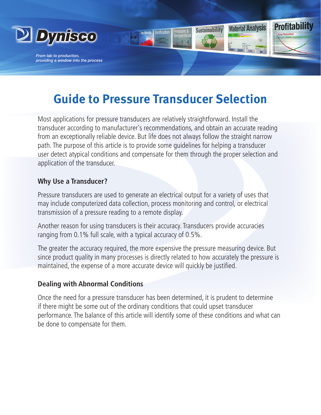

*From lab to production, providing a window into the process*

# **Guide to Pressure Transducer Selection**

**Profitability** 

**Material Analysis** 

**Sustainability** 

Most applications for pressure transducers are relatively straightforward. Install the transducer according to manufacturer's recommendations, and obtain an accurate reading from an exceptionally reliable device. But life does not always follow the straight narrow path. The purpose of this article is to provide some guidelines for helping a transducer user detect atypical conditions and compensate for them through the proper selection and application of the transducer.

### **Why Use a Transducer?**

Pressure transducers are used to generate an electrical output for a variety of uses that may include computerized data collection, process monitoring and control, or electrical transmission of a pressure reading to a remote display.

Another reason for using transducers is their accuracy. Transducers provide accuracies ranging from 0.1% full scale, with a typical accuracy of 0.5%.

The greater the accuracy required, the more expensive the pressure measuring device. But since product quality in many processes is directly related to how accurately the pressure is maintained, the expense of a more accurate device will quickly be justified.

### **Dealing with Abnormal Conditions**

Once the need for a pressure transducer has been determined, it is prudent to determine if there might be some out of the ordinary conditions that could upset transducer performance. The balance of this article will identify some of these conditions and what can be done to compensate for them.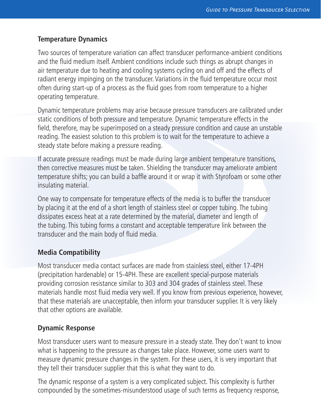# **Temperature Dynamics**

Two sources of temperature variation can affect transducer performance-ambient conditions and the fluid medium itself. Ambient conditions include such things as abrupt changes in air temperature due to heating and cooling systems cycling on and off and the effects of radiant energy impinging on the transducer. Variations in the fluid temperature occur most often during start-up of a process as the fluid goes from room temperature to a higher operating temperature.

Dynamic temperature problems may arise because pressure transducers are calibrated under static conditions of both pressure and temperature. Dynamic temperature effects in the field, therefore, may be superimposed on a steady pressure condition and cause an unstable reading. The easiest solution to this problem is to wait for the temperature to achieve a steady state before making a pressure reading.

If accurate pressure readings must be made during large ambient temperature transitions, then corrective measures must be taken. Shielding the transducer may ameliorate ambient temperature shifts; you can build a baffle around it or wrap it with Styrofoam or some other insulating material.

One way to compensate for temperature effects of the media is to buffer the transducer by placing it at the end of a short length of stainless steel or copper tubing. The tubing dissipates excess heat at a rate determined by the material, diameter and length of the tubing. This tubing forms a constant and acceptable temperature link between the transducer and the main body of fluid media.

# **Media Compatibility**

Most transducer media contact surfaces are made from stainless steel, either 17-4PH (precipitation hardenable) or 15-4PH. These are excellent special-purpose materials providing corrosion resistance similar to 303 and 304 grades of stainless steel. These materials handle most fluid media very well. If you know from previous experience, however, that these materials are unacceptable, then inform your transducer supplier. It is very likely that other options are available.

# **Dynamic Response**

Most transducer users want to measure pressure in a steady state. They don't want to know what is happening to the pressure as changes take place. However, some users want to measure dynamic pressure changes in the system. For these users, it is very important that they tell their transducer supplier that this is what they want to do.

The dynamic response of a system is a very complicated subject. This complexity is further compounded by the sometimes-misunderstood usage of such terms as frequency response,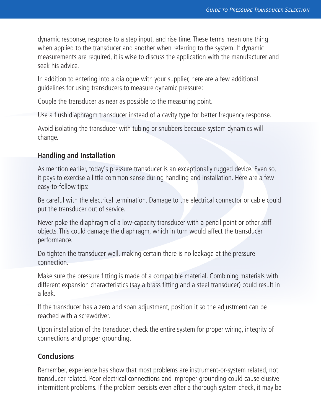dynamic response, response to a step input, and rise time. These terms mean one thing when applied to the transducer and another when referring to the system. If dynamic measurements are required, it is wise to discuss the application with the manufacturer and seek his advice.

In addition to entering into a dialogue with your supplier, here are a few additional guidelines for using transducers to measure dynamic pressure:

Couple the transducer as near as possible to the measuring point.

Use a flush diaphragm transducer instead of a cavity type for better frequency response.

Avoid isolating the transducer with tubing or snubbers because system dynamics will change.

#### **Handling and Installation**

As mention earlier, today's pressure transducer is an exceptionally rugged device. Even so, it pays to exercise a little common sense during handling and installation. Here are a few easy-to-follow tips:

Be careful with the electrical termination. Damage to the electrical connector or cable could put the transducer out of service.

Never poke the diaphragm of a low-capacity transducer with a pencil point or other stiff objects. This could damage the diaphragm, which in turn would affect the transducer performance.

Do tighten the transducer well, making certain there is no leakage at the pressure connection.

Make sure the pressure fitting is made of a compatible material. Combining materials with different expansion characteristics (say a brass fitting and a steel transducer) could result in a leak.

If the transducer has a zero and span adjustment, position it so the adjustment can be reached with a screwdriver.

Upon installation of the transducer, check the entire system for proper wiring, integrity of connections and proper grounding.

#### **Conclusions**

Remember, experience has show that most problems are instrument-or-system related, not transducer related. Poor electrical connections and improper grounding could cause elusive intermittent problems. If the problem persists even after a thorough system check, it may be